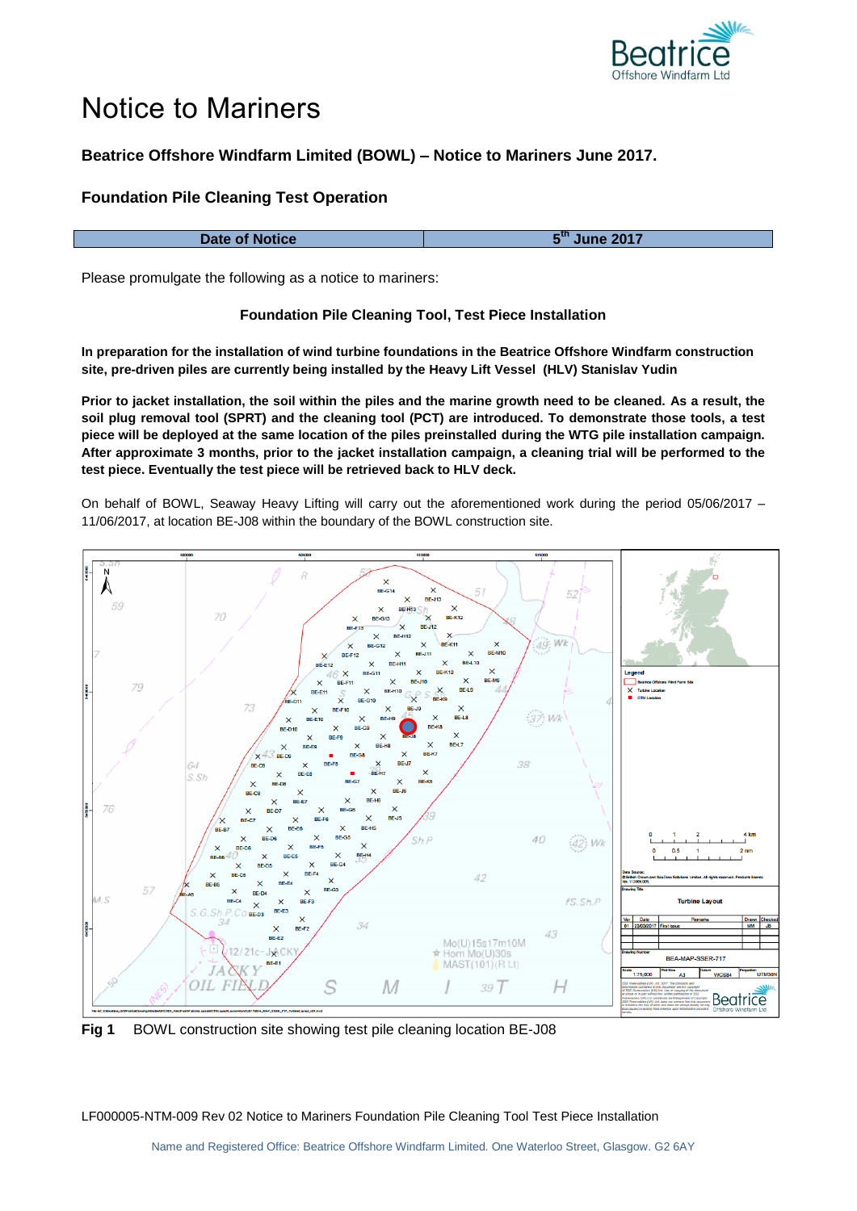

# Notice to Mariners

## **Beatrice Offshore Windfarm Limited (BOWL) – Notice to Mariners June 2017.**

### **Foundation Pile Cleaning Test Operation**

| Date of Notice | ine 2017 |
|----------------|----------|

Please promulgate the following as a notice to mariners:

#### **Foundation Pile Cleaning Tool, Test Piece Installation**

**In preparation for the installation of wind turbine foundations in the Beatrice Offshore Windfarm construction site, pre-driven piles are currently being installed by the Heavy Lift Vessel (HLV) Stanislav Yudin**

**Prior to jacket installation, the soil within the piles and the marine growth need to be cleaned. As a result, the soil plug removal tool (SPRT) and the cleaning tool (PCT) are introduced. To demonstrate those tools, a test piece will be deployed at the same location of the piles preinstalled during the WTG pile installation campaign. After approximate 3 months, prior to the jacket installation campaign, a cleaning trial will be performed to the test piece. Eventually the test piece will be retrieved back to HLV deck.**

On behalf of BOWL, Seaway Heavy Lifting will carry out the aforementioned work during the period 05/06/2017 – 11/06/2017, at location BE-J08 within the boundary of the BOWL construction site.



**Fig 1** BOWL construction site showing test pile cleaning location BE-J08

LF000005-NTM-009 Rev 02 Notice to Mariners Foundation Pile Cleaning Tool Test Piece Installation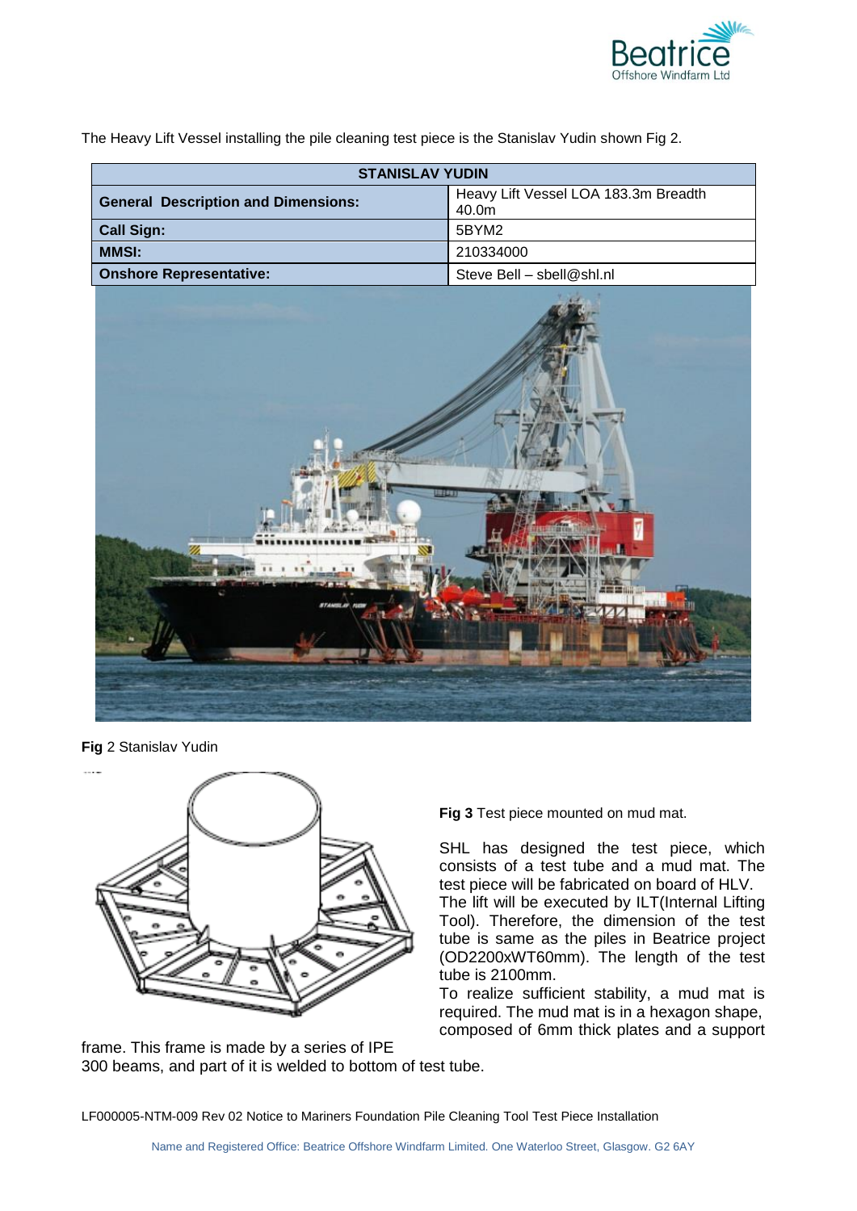

The Heavy Lift Vessel installing the pile cleaning test piece is the Stanislav Yudin shown Fig 2.

| <b>STANISLAV YUDIN</b>                     |                                               |
|--------------------------------------------|-----------------------------------------------|
| <b>General Description and Dimensions:</b> | Heavy Lift Vessel LOA 183.3m Breadth<br>40.0m |
| <b>Call Sign:</b>                          | 5BYM2                                         |
| <b>MMSI:</b>                               | 210334000                                     |
| <b>Onshore Representative:</b>             | Steve Bell - sbell@shl.nl                     |



**Fig** 2 Stanislav Yudin



**Fig 3** Test piece mounted on mud mat.

SHL has designed the test piece, which consists of a test tube and a mud mat. The test piece will be fabricated on board of HLV.

The lift will be executed by ILT(Internal Lifting Tool). Therefore, the dimension of the test tube is same as the piles in Beatrice project (OD2200xWT60mm). The length of the test tube is 2100mm.

To realize sufficient stability, a mud mat is required. The mud mat is in a hexagon shape, composed of 6mm thick plates and a support

frame. This frame is made by a series of IPE 300 beams, and part of it is welded to bottom of test tube.

LF000005-NTM-009 Rev 02 Notice to Mariners Foundation Pile Cleaning Tool Test Piece Installation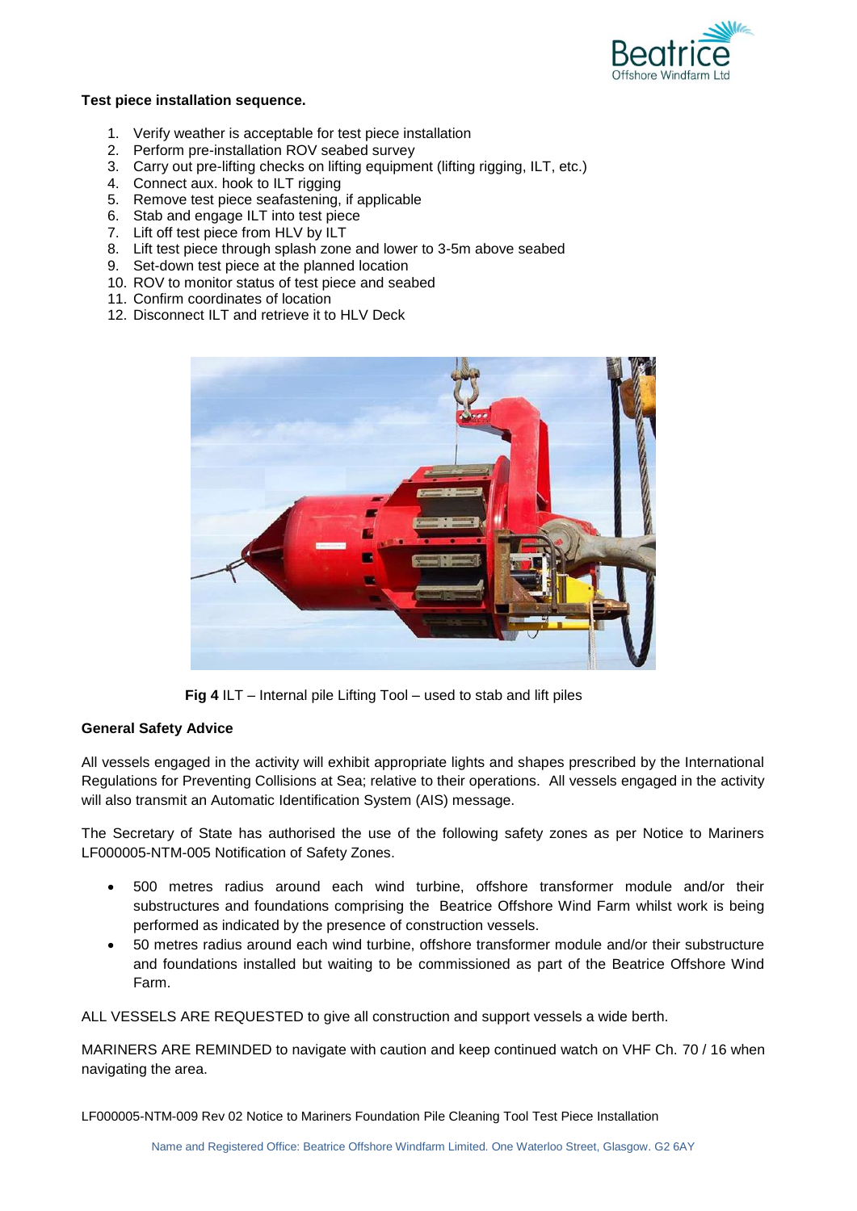

#### **Test piece installation sequence.**

- 1. Verify weather is acceptable for test piece installation
- 2. Perform pre-installation ROV seabed survey
- 3. Carry out pre-lifting checks on lifting equipment (lifting rigging, ILT, etc.)
- 4. Connect aux. hook to ILT rigging
- 5. Remove test piece seafastening, if applicable
- 6. Stab and engage ILT into test piece
- 7. Lift off test piece from HLV by ILT
- 8. Lift test piece through splash zone and lower to 3-5m above seabed
- 9. Set-down test piece at the planned location
- 10. ROV to monitor status of test piece and seabed
- 11. Confirm coordinates of location
- 12. Disconnect ILT and retrieve it to HLV Deck



**Fig 4** ILT – Internal pile Lifting Tool – used to stab and lift piles

#### **General Safety Advice**

All vessels engaged in the activity will exhibit appropriate lights and shapes prescribed by the International Regulations for Preventing Collisions at Sea; relative to their operations. All vessels engaged in the activity will also transmit an Automatic Identification System (AIS) message.

The Secretary of State has authorised the use of the following safety zones as per Notice to Mariners LF000005-NTM-005 Notification of Safety Zones.

- 500 metres radius around each wind turbine, offshore transformer module and/or their substructures and foundations comprising the Beatrice Offshore Wind Farm whilst work is being performed as indicated by the presence of construction vessels.
- 50 metres radius around each wind turbine, offshore transformer module and/or their substructure and foundations installed but waiting to be commissioned as part of the Beatrice Offshore Wind Farm.

ALL VESSELS ARE REQUESTED to give all construction and support vessels a wide berth.

MARINERS ARE REMINDED to navigate with caution and keep continued watch on VHF Ch. 70 / 16 when navigating the area.

LF000005-NTM-009 Rev 02 Notice to Mariners Foundation Pile Cleaning Tool Test Piece Installation